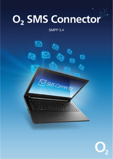# O<sub>2</sub> SMS Connector

#### SMPP 3.4



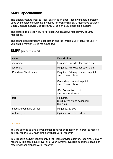#### **SMPP specification**

The Short Message Peer-to-Peer (SMPP) is an open, industry standard protocol used by the telecommunication industry for exchanging SMS messages between Short Message Service Centres (SMSC) and an SMS application systems.

The protocol is a level-7 TCP/IP protocol, which allows fast delivery of SMS messages.

The connection between the application and the Infobip SMPP server is SMPP version 3.4 (version 3.3 is not supported).

| <b>Name</b>                 | <b>Description</b>                                                                                           |
|-----------------------------|--------------------------------------------------------------------------------------------------------------|
| username                    | Required. Provided for each client.                                                                          |
| password                    | Required. Provided for each client.                                                                          |
| IP address / host name      | Required. Primary connection point:<br>smpp1.smstools.sk<br>Secondary connection point:<br>smpp2.smstools.sk |
|                             | <b>SSL Connection point:</b><br>smpp-ssl.smstools.sk                                                         |
| port                        | Required.<br>8888 (primary and secondary)<br>8887 (ssl)                                                      |
| timeout (keep alive or msg) | Required. 30 sec                                                                                             |
| system_type                 | Optional. <r:route_code></r:route_code>                                                                      |

#### **SMPP parameters**

#### Important:

You are allowed to bind as transmitter, receiver or transceiver. In order to receive delivery reports, you must bind as transceiver or receiver.

You'll receive delivery reports only if your route provides delivery reporting. Delivery reports will be sent equally over all of your currently available sessions capable of receiving them (transceiver or receiver).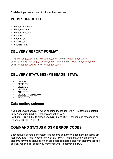By default, you are allowed to bind with 4 sessions.

## **PDUS SUPPORTED:**

- bind transmitter
- bind receiver
- bind transceiver
- unbind
- submit\_sm
- deliver\_sm
- enquire link

## **DELIVERY REPORT FORMAT**

"id:<message\_id> sub:<message\_sub> dlvrd:<message\_dlvrd> submit date:<message\_submit\_date> done date:<message\_done\_date> stat:<message\_stat> err:<message\_err>"

#### **DELIVERY STATUSES (MESSAGE\_STAT):**

- DELIVRD
- EXPIRED
- DELETED
- UNDELIV
- ACCEPTD
- DELIVERY UNKNOWN
- REJECTED

#### **Data coding scheme**

If you set DCS 0 or DCS 1 when sending messages, we will treat that as default GSM7 encoding (SMSC Default Alphabet or IA5).

For Latin1 (ISO-8859-1) please use DCS 3 and DCS 8 for sending messages as Unicode (ISO/IEC-10646).

#### **COMMAND STATUS & GSM ERROR CODES**

Each request sent to our system is to receive an acknowledgement in submit\_sm resp PDU and it is fully compliant with SMPP v 3.4 standard. A few proprietary platform command statuses which are described [here](http://dev.infobip.com/v1/page/command-status-gsm-error-codes) along with platform specific delivery report [error codes](http://dev.infobip.com/v1/page/command-status-gsm-error-codes) you may encounter in deliver\_sm PDU.